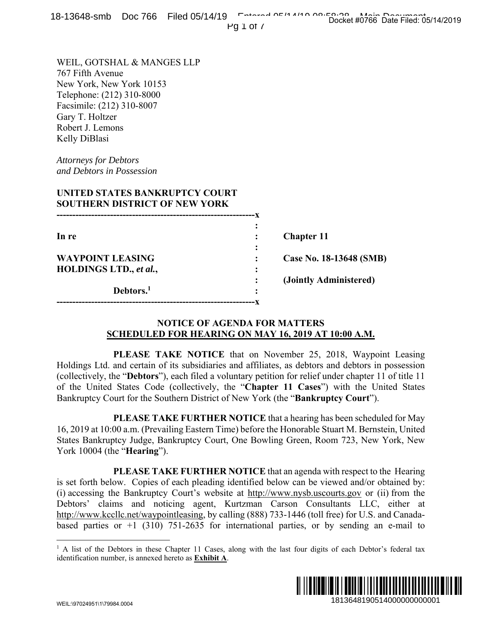Pg 1 of 7

WEIL, GOTSHAL & MANGES LLP 767 Fifth Avenue New York, New York 10153 Telephone: (212) 310-8000 Facsimile: (212) 310-8007 Gary T. Holtzer Robert J. Lemons Kelly DiBlasi

*Attorneys for Debtors and Debtors in Possession* 

## **UNITED STATES BANKRUPTCY COURT SOUTHERN DISTRICT OF NEW YORK**

| In re                   |   | <b>Chapter 11</b>       |
|-------------------------|---|-------------------------|
|                         | ٠ |                         |
| <b>WAYPOINT LEASING</b> |   | Case No. 18-13648 (SMB) |
| HOLDINGS LTD., et al.,  | ٠ |                         |
|                         |   | (Jointly Administered)  |
| Debtors. <sup>1</sup>   | ٠ |                         |
|                         |   |                         |

## **NOTICE OF AGENDA FOR MATTERS SCHEDULED FOR HEARING ON MAY 16, 2019 AT 10:00 A.M.**

 **PLEASE TAKE NOTICE** that on November 25, 2018, Waypoint Leasing Holdings Ltd. and certain of its subsidiaries and affiliates, as debtors and debtors in possession (collectively, the "**Debtors**"), each filed a voluntary petition for relief under chapter 11 of title 11 of the United States Code (collectively, the "**Chapter 11 Cases**") with the United States Bankruptcy Court for the Southern District of New York (the "**Bankruptcy Court**").

 **PLEASE TAKE FURTHER NOTICE** that a hearing has been scheduled for May 16, 2019 at 10:00 a.m. (Prevailing Eastern Time) before the Honorable Stuart M. Bernstein, United States Bankruptcy Judge, Bankruptcy Court, One Bowling Green, Room 723, New York, New York 10004 (the "**Hearing**").

 **PLEASE TAKE FURTHER NOTICE** that an agenda with respect to the Hearing is set forth below. Copies of each pleading identified below can be viewed and/or obtained by: (i) accessing the Bankruptcy Court's website at http://www.nysb.uscourts.gov or (ii) from the Debtors' claims and noticing agent, Kurtzman Carson Consultants LLC, either at http://www.kccllc.net/waypointleasing, by calling (888) 733-1446 (toll free) for U.S. and Canadabased parties or  $+1$  (310) 751-2635 for international parties, or by sending an e-mail to **1913648 (SMB)**<br> **1913648 (SMB)**<br> **1913648 (SMB)**<br> **ministered)**<br> **10136**, Waypoint Leasing<br>
and debtors in possession<br>
ander chapter 11 of title 11<br>
with the United States<br> **1923**, New York, New<br>
title respect to the Hea

<sup>&</sup>lt;sup>1</sup> A list of the Debtors in these Chapter 11 Cases, along with the last four digits of each Debtor's federal tax identification number, is annexed hereto as **Exhibit A**.



 $\overline{a}$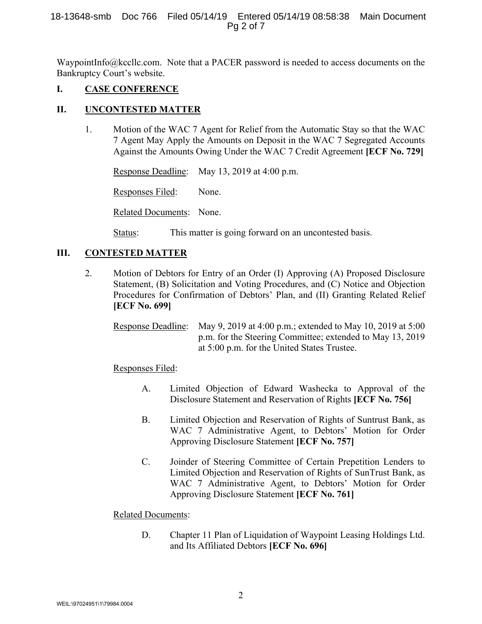WaypointInfo@kccllc.com. Note that a PACER password is needed to access documents on the Bankruptcy Court's website.

# **I. CASE CONFERENCE**

## **II. UNCONTESTED MATTER**

1. Motion of the WAC 7 Agent for Relief from the Automatic Stay so that the WAC 7 Agent May Apply the Amounts on Deposit in the WAC 7 Segregated Accounts Against the Amounts Owing Under the WAC 7 Credit Agreement **[ECF No. 729]**

Response Deadline: May 13, 2019 at 4:00 p.m.

Responses Filed: None.

Related Documents: None.

Status: This matter is going forward on an uncontested basis.

## **III. CONTESTED MATTER**

2. Motion of Debtors for Entry of an Order (I) Approving (A) Proposed Disclosure Statement, (B) Solicitation and Voting Procedures, and (C) Notice and Objection Procedures for Confirmation of Debtors' Plan, and (II) Granting Related Relief **[ECF No. 699]**

Response Deadline: May 9, 2019 at 4:00 p.m.; extended to May 10, 2019 at 5:00 p.m. for the Steering Committee; extended to May 13, 2019 at 5:00 p.m. for the United States Trustee.

Responses Filed:

- A. Limited Objection of Edward Washecka to Approval of the Disclosure Statement and Reservation of Rights **[ECF No. 756]**
- B. Limited Objection and Reservation of Rights of Suntrust Bank, as WAC 7 Administrative Agent, to Debtors' Motion for Order Approving Disclosure Statement **[ECF No. 757]**
- C. Joinder of Steering Committee of Certain Prepetition Lenders to Limited Objection and Reservation of Rights of SunTrust Bank, as WAC 7 Administrative Agent, to Debtors' Motion for Order Approving Disclosure Statement **[ECF No. 761]**

## Related Documents:

D. Chapter 11 Plan of Liquidation of Waypoint Leasing Holdings Ltd. and Its Affiliated Debtors **[ECF No. 696]**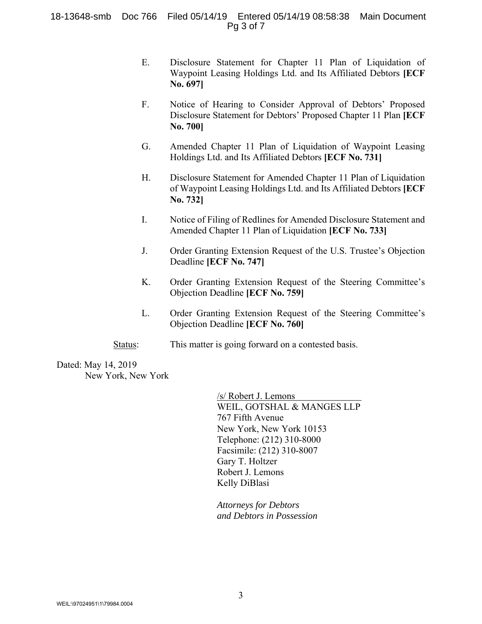#### 18-13648-smb Doc 766 Filed 05/14/19 Entered 05/14/19 08:58:38 Main Document Pg 3 of 7

- E. Disclosure Statement for Chapter 11 Plan of Liquidation of Waypoint Leasing Holdings Ltd. and Its Affiliated Debtors **[ECF No. 697]**
- F. Notice of Hearing to Consider Approval of Debtors' Proposed Disclosure Statement for Debtors' Proposed Chapter 11 Plan **[ECF No. 700]**
- G. Amended Chapter 11 Plan of Liquidation of Waypoint Leasing Holdings Ltd. and Its Affiliated Debtors **[ECF No. 731]**
- H. Disclosure Statement for Amended Chapter 11 Plan of Liquidation of Waypoint Leasing Holdings Ltd. and Its Affiliated Debtors **[ECF No. 732]**
- I. Notice of Filing of Redlines for Amended Disclosure Statement and Amended Chapter 11 Plan of Liquidation **[ECF No. 733]**
- J. Order Granting Extension Request of the U.S. Trustee's Objection Deadline **[ECF No. 747]**
- K. Order Granting Extension Request of the Steering Committee's Objection Deadline **[ECF No. 759]**
- L. Order Granting Extension Request of the Steering Committee's Objection Deadline **[ECF No. 760]**
- Status: This matter is going forward on a contested basis.

Dated: May 14, 2019 New York, New York

> /s/ Robert J. Lemons WEIL, GOTSHAL & MANGES LLP 767 Fifth Avenue New York, New York 10153 Telephone: (212) 310-8000 Facsimile: (212) 310-8007 Gary T. Holtzer Robert J. Lemons Kelly DiBlasi

*Attorneys for Debtors and Debtors in Possession*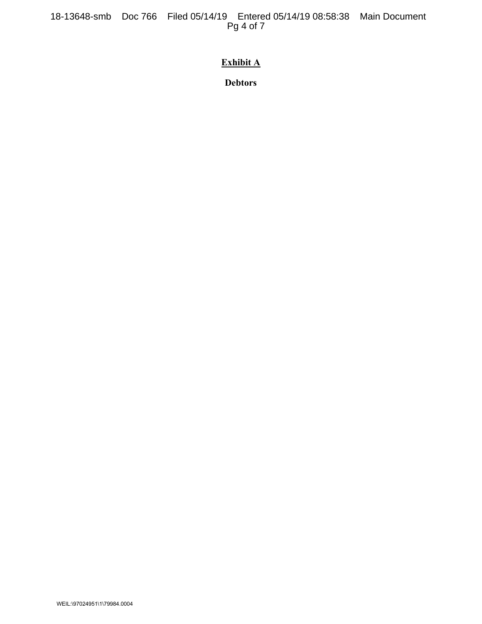# **Exhibit A**

**Debtors**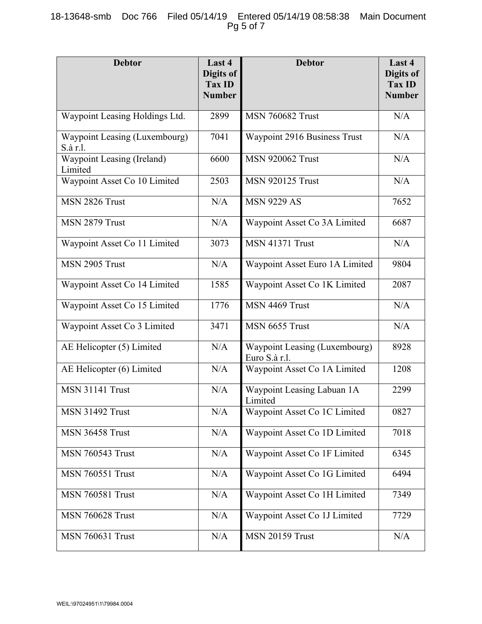## 18-13648-smb Doc 766 Filed 05/14/19 Entered 05/14/19 08:58:38 Main Document Pg 5 of 7

| <b>Debtor</b>                             | Last 4<br>Digits of<br><b>Tax ID</b><br><b>Number</b> | <b>Debtor</b>                                  | Last 4<br>Digits of<br><b>Tax ID</b><br><b>Number</b> |
|-------------------------------------------|-------------------------------------------------------|------------------------------------------------|-------------------------------------------------------|
| Waypoint Leasing Holdings Ltd.            | 2899                                                  | <b>MSN 760682 Trust</b>                        | N/A                                                   |
| Waypoint Leasing (Luxembourg)<br>S.à r.l. | 7041                                                  | Waypoint 2916 Business Trust                   | N/A                                                   |
| Waypoint Leasing (Ireland)<br>Limited     | 6600                                                  | <b>MSN 920062 Trust</b>                        | N/A                                                   |
| Waypoint Asset Co 10 Limited              | 2503                                                  | <b>MSN 920125 Trust</b>                        | N/A                                                   |
| MSN 2826 Trust                            | N/A                                                   | <b>MSN 9229 AS</b>                             | 7652                                                  |
| MSN 2879 Trust                            | N/A                                                   | Waypoint Asset Co 3A Limited                   | 6687                                                  |
| Waypoint Asset Co 11 Limited              | 3073                                                  | <b>MSN 41371 Trust</b>                         | N/A                                                   |
| MSN 2905 Trust                            | N/A                                                   | Waypoint Asset Euro 1A Limited                 | 9804                                                  |
| Waypoint Asset Co 14 Limited              | 1585                                                  | Waypoint Asset Co 1K Limited                   | 2087                                                  |
| Waypoint Asset Co 15 Limited              | 1776                                                  | MSN 4469 Trust                                 | N/A                                                   |
| Waypoint Asset Co 3 Limited               | 3471                                                  | MSN 6655 Trust                                 | N/A                                                   |
| AE Helicopter (5) Limited                 | N/A                                                   | Waypoint Leasing (Luxembourg)<br>Euro S.à r.l. | 8928                                                  |
| AE Helicopter (6) Limited                 | N/A                                                   | Waypoint Asset Co 1A Limited                   | 1208                                                  |
| <b>MSN 31141 Trust</b>                    | N/A                                                   | Waypoint Leasing Labuan 1A<br>Limited          | 2299                                                  |
| <b>MSN 31492 Trust</b>                    | N/A                                                   | Waypoint Asset Co 1C Limited                   | 0827                                                  |
| <b>MSN 36458 Trust</b>                    | N/A                                                   | Waypoint Asset Co 1D Limited                   | 7018                                                  |
| <b>MSN 760543 Trust</b>                   | N/A                                                   | Waypoint Asset Co 1F Limited                   | 6345                                                  |
| <b>MSN 760551 Trust</b>                   | N/A                                                   | Waypoint Asset Co 1G Limited                   | 6494                                                  |
| <b>MSN 760581 Trust</b>                   | N/A                                                   | Waypoint Asset Co 1H Limited                   | 7349                                                  |
| <b>MSN 760628 Trust</b>                   | N/A                                                   | Waypoint Asset Co 1J Limited                   | 7729                                                  |
| <b>MSN 760631 Trust</b>                   | N/A                                                   | <b>MSN 20159 Trust</b>                         | N/A                                                   |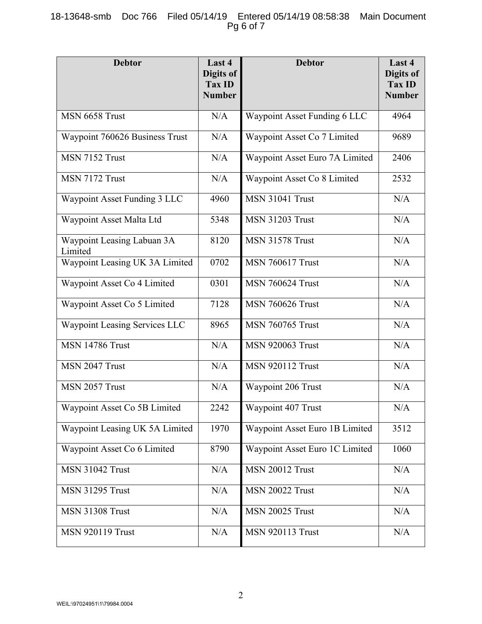## 18-13648-smb Doc 766 Filed 05/14/19 Entered 05/14/19 08:58:38 Main Document Pg 6 of 7

| <b>Debtor</b>                         | Last 4<br>Digits of<br>Tax ID<br><b>Number</b> | <b>Debtor</b>                  | Last 4<br>Digits of<br><b>Tax ID</b><br><b>Number</b> |
|---------------------------------------|------------------------------------------------|--------------------------------|-------------------------------------------------------|
| MSN 6658 Trust                        | N/A                                            | Waypoint Asset Funding 6 LLC   | 4964                                                  |
| Waypoint 760626 Business Trust        | N/A                                            | Waypoint Asset Co 7 Limited    | 9689                                                  |
| MSN 7152 Trust                        | N/A                                            | Waypoint Asset Euro 7A Limited | 2406                                                  |
| MSN 7172 Trust                        | N/A                                            | Waypoint Asset Co 8 Limited    | 2532                                                  |
| Waypoint Asset Funding 3 LLC          | 4960                                           | <b>MSN 31041 Trust</b>         | N/A                                                   |
| Waypoint Asset Malta Ltd              | 5348                                           | <b>MSN 31203 Trust</b>         | N/A                                                   |
| Waypoint Leasing Labuan 3A<br>Limited | 8120                                           | <b>MSN 31578 Trust</b>         | N/A                                                   |
| Waypoint Leasing UK 3A Limited        | 0702                                           | <b>MSN 760617 Trust</b>        | N/A                                                   |
| Waypoint Asset Co 4 Limited           | 0301                                           | <b>MSN 760624 Trust</b>        | N/A                                                   |
| Waypoint Asset Co 5 Limited           | 7128                                           | <b>MSN 760626 Trust</b>        | N/A                                                   |
| Waypoint Leasing Services LLC         | 8965                                           | <b>MSN 760765 Trust</b>        | N/A                                                   |
| <b>MSN 14786 Trust</b>                | N/A                                            | <b>MSN 920063 Trust</b>        | N/A                                                   |
| MSN 2047 Trust                        | N/A                                            | <b>MSN 920112 Trust</b>        | N/A                                                   |
| MSN 2057 Trust                        | N/A                                            | Waypoint 206 Trust             | N/A                                                   |
| Waypoint Asset Co 5B Limited          | 2242                                           | Waypoint 407 Trust             | N/A                                                   |
| Waypoint Leasing UK 5A Limited        | 1970                                           | Waypoint Asset Euro 1B Limited | 3512                                                  |
| Waypoint Asset Co 6 Limited           | 8790                                           | Waypoint Asset Euro 1C Limited | 1060                                                  |
| <b>MSN 31042 Trust</b>                | N/A                                            | <b>MSN 20012 Trust</b>         | N/A                                                   |
| <b>MSN 31295 Trust</b>                | N/A                                            | <b>MSN 20022 Trust</b>         | N/A                                                   |
| <b>MSN 31308 Trust</b>                | N/A                                            | <b>MSN 20025 Trust</b>         | N/A                                                   |
| <b>MSN 920119 Trust</b>               | N/A                                            | <b>MSN 920113 Trust</b>        | N/A                                                   |